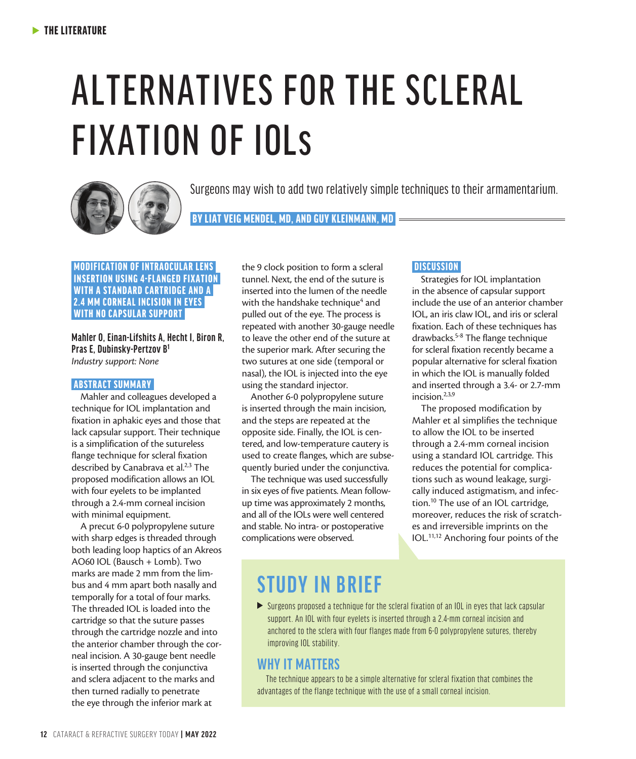# ALTERNATIVES FOR THE SCLERAL FIXATION OF IOLs



Surgeons may wish to add two relatively simple techniques to their armamentarium.

BY LIAT VEIG MENDEL, MD, AND GUY KLEINMANN, MD

#### MODIFICATION OF INTRAOCULAR LENS INSERTION USING 4-FLANGED FIXATION WITH A STANDARD CARTRIDGE AND A 2.4 MM CORNEAL INCISION IN EYES WITH NO CAPSULAR SUPPORT

**Mahler O, Einan-Lifshits A, Hecht I, Biron R, Pras E, Dubinsky-Pertzov B1** *Industry support: None* 

#### ABSTRACT SUMMARY

Mahler and colleagues developed a technique for IOL implantation and fixation in aphakic eyes and those that lack capsular support. Their technique is a simplification of the sutureless flange technique for scleral fixation described by Canabrava et al.<sup>2,3</sup> The proposed modification allows an IOL with four eyelets to be implanted through a 2.4-mm corneal incision with minimal equipment.

A precut 6-0 polypropylene suture with sharp edges is threaded through both leading loop haptics of an Akreos AO60 IOL (Bausch + Lomb). Two marks are made 2 mm from the limbus and 4 mm apart both nasally and temporally for a total of four marks. The threaded IOL is loaded into the cartridge so that the suture passes through the cartridge nozzle and into the anterior chamber through the corneal incision. A 30-gauge bent needle is inserted through the conjunctiva and sclera adjacent to the marks and then turned radially to penetrate the eye through the inferior mark at

the 9 clock position to form a scleral tunnel. Next, the end of the suture is inserted into the lumen of the needle with the handshake technique<sup>4</sup> and pulled out of the eye. The process is repeated with another 30-gauge needle to leave the other end of the suture at the superior mark. After securing the two sutures at one side (temporal or nasal), the IOL is injected into the eye using the standard injector.

Another 6-0 polypropylene suture is inserted through the main incision, and the steps are repeated at the opposite side. Finally, the IOL is centered, and low-temperature cautery is used to create flanges, which are subsequently buried under the conjunctiva.

The technique was used successfully in six eyes of five patients. Mean followup time was approximately 2 months, and all of the IOLs were well centered and stable. No intra- or postoperative complications were observed.

#### **DISCUSSION**

Strategies for IOL implantation in the absence of capsular support include the use of an anterior chamber IOL, an iris claw IOL, and iris or scleral fixation. Each of these techniques has drawbacks.5-8 The flange technique for scleral fixation recently became a popular alternative for scleral fixation in which the IOL is manually folded and inserted through a 3.4- or 2.7-mm incision.<sup>2,3,9</sup>

The proposed modification by Mahler et al simplifies the technique to allow the IOL to be inserted through a 2.4-mm corneal incision using a standard IOL cartridge. This reduces the potential for complications such as wound leakage, surgically induced astigmatism, and infection.10 The use of an IOL cartridge, moreover, reduces the risk of scratches and irreversible imprints on the IOL.11,12 Anchoring four points of the

## **STUDY IN BRIEF**

 $\triangleright$  Surgeons proposed a technique for the scleral fixation of an IOL in eyes that lack capsular support. An IOL with four eyelets is inserted through a 2.4-mm corneal incision and anchored to the sclera with four flanges made from 6-0 polypropylene sutures, thereby improving IOL stability.

### **WHY IT MATTERS**

The technique appears to be a simple alternative for scleral fixation that combines the advantages of the flange technique with the use of a small corneal incision.